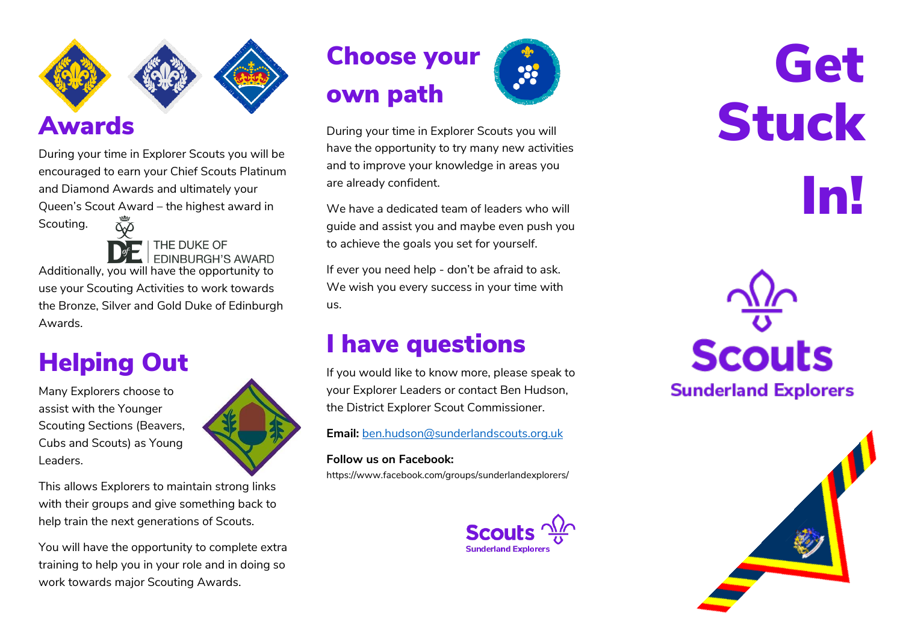

#### Awards

During your time in Explorer Scouts you will be encouraged to earn your Chief Scouts Platinum and Diamond Awards and ultimately your Queen's Scout Award – the highest award in Scouting. ŎΔ



THE DUKE OF **FDINBURGH'S AWARD** 

Additionally, you will have the opportunity to use your Scouting Activities to work towards the Bronze, Silver and Gold Duke of Edinburgh Awards.

# Helping Out

Many Explorers choose to assist with the Younger Scouting Sections (Beavers, Cubs and Scouts) as Young Leaders.

This allows Explorers to maintain strong links with their groups and give something back to help train the next generations of Scouts.

You will have the opportunity to complete extra training to help you in your role and in doing so work towards major Scouting Awards.





During your time in Explorer Scouts you will have the opportunity to try many new activities and to improve your knowledge in areas you are already confident.

We have a dedicated team of leaders who will guide and assist you and maybe even push you to achieve the goals you set for yourself.

If ever you need help - don't be afraid to ask. We wish you every success in your time with us.

#### I have questions

If you would like to know more, please speak to your Explorer Leaders or contact Ben Hudson, the District Explorer Scout Commissioner.

**Email:** [ben.hudson@sunderlandscouts.org.uk](mailto:ben.hudson@sunderlandscouts.org.uk)

#### **Follow us on Facebook:**

https://www.facebook.com/groups/sunderlandexplorers/



# **Get** Stuck In!